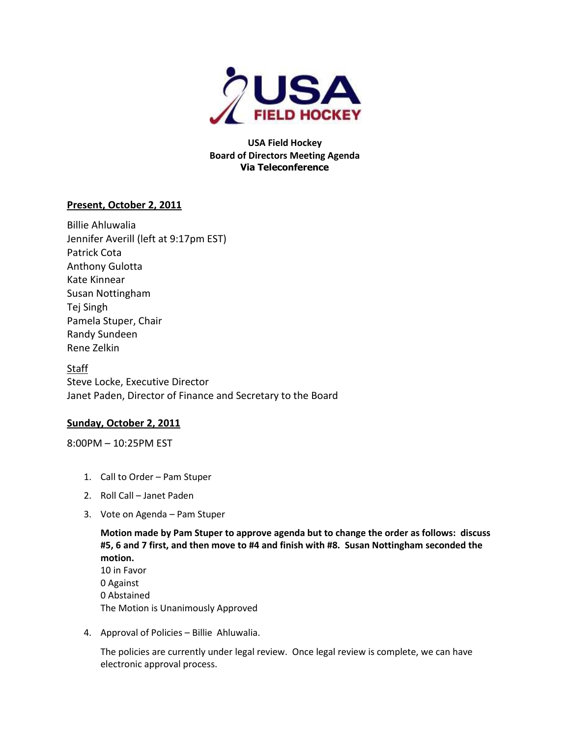

**USA Field Hockey Board of Directors Meeting Agenda Via Teleconference**

# **Present, October 2, 2011**

Billie Ahluwalia Jennifer Averill (left at 9:17pm EST) Patrick Cota Anthony Gulotta Kate Kinnear Susan Nottingham Tej Singh Pamela Stuper, Chair Randy Sundeen Rene Zelkin

**Staff** Steve Locke, Executive Director Janet Paden, Director of Finance and Secretary to the Board

## **Sunday, October 2, 2011**

8:00PM – 10:25PM EST

- 1. Call to Order Pam Stuper
- 2. Roll Call Janet Paden
- 3. Vote on Agenda Pam Stuper

**Motion made by Pam Stuper to approve agenda but to change the order as follows: discuss #5, 6 and 7 first, and then move to #4 and finish with #8. Susan Nottingham seconded the motion.**  10 in Favor

0 Against 0 Abstained The Motion is Unanimously Approved

4. Approval of Policies – Billie Ahluwalia.

The policies are currently under legal review. Once legal review is complete, we can have electronic approval process.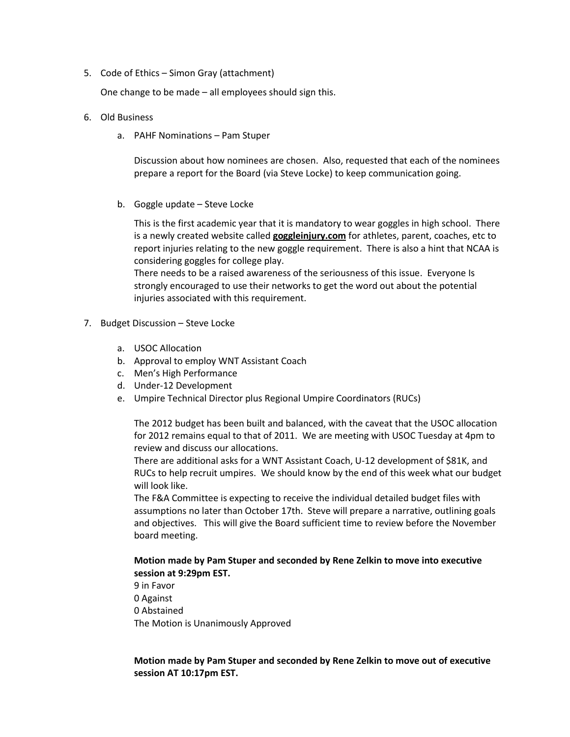5. Code of Ethics – Simon Gray (attachment)

One change to be made – all employees should sign this.

- 6. Old Business
	- a. PAHF Nominations Pam Stuper

Discussion about how nominees are chosen. Also, requested that each of the nominees prepare a report for the Board (via Steve Locke) to keep communication going.

b. Goggle update – Steve Locke

This is the first academic year that it is mandatory to wear goggles in high school. There is a newly created website called **goggleinjury.com** for athletes, parent, coaches, etc to report injuries relating to the new goggle requirement. There is also a hint that NCAA is considering goggles for college play.

There needs to be a raised awareness of the seriousness of this issue. Everyone Is strongly encouraged to use their networks to get the word out about the potential injuries associated with this requirement.

- 7. Budget Discussion Steve Locke
	- a. USOC Allocation
	- b. Approval to employ WNT Assistant Coach
	- c. Men's High Performance
	- d. Under-12 Development
	- e. Umpire Technical Director plus Regional Umpire Coordinators (RUCs)

The 2012 budget has been built and balanced, with the caveat that the USOC allocation for 2012 remains equal to that of 2011. We are meeting with USOC Tuesday at 4pm to review and discuss our allocations.

There are additional asks for a WNT Assistant Coach, U-12 development of \$81K, and RUCs to help recruit umpires. We should know by the end of this week what our budget will look like.

The F&A Committee is expecting to receive the individual detailed budget files with assumptions no later than October 17th. Steve will prepare a narrative, outlining goals and objectives. This will give the Board sufficient time to review before the November board meeting.

#### **Motion made by Pam Stuper and seconded by Rene Zelkin to move into executive session at 9:29pm EST.**

9 in Favor 0 Against 0 Abstained The Motion is Unanimously Approved

### **Motion made by Pam Stuper and seconded by Rene Zelkin to move out of executive session AT 10:17pm EST.**